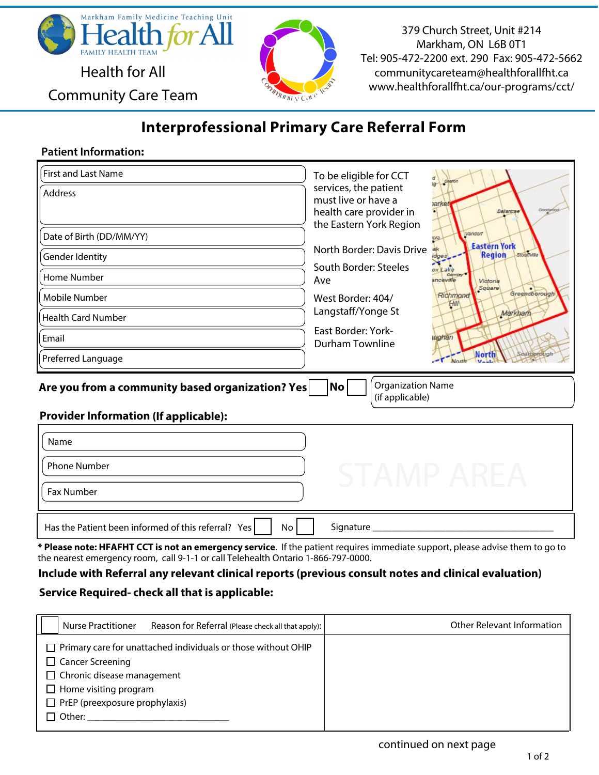

Community Care Team

379 Church Street, Unit #214 Markham, ON L6B 0T1 Tel: 905-472-2200 ext. 290 Fax: 905-472-5662 communitycareteam@healthforallfht.ca www.healthforallfht.ca/our-programs/cct/

# **Interprofessional Primary Care Referral Form**

Unity Cal

### **Patient Information:**

| First and Last Name<br>Address<br>Date of Birth (DD/MM/YY)<br>Gender Identity<br>Home Number<br>Mobile Number<br><b>Health Card Number</b><br>Email<br>Preferred Language | To be eligible for CCT<br>services, the patient<br>must live or have a<br><b>narket</b><br>Googlebas<br>health care provider in<br>Ballantrae<br>the Eastern York Region<br>Vandorf<br>tora.<br><b>Eastern York</b><br>North Border: Davis Drive<br>Stoumulle<br><b>Region</b><br>idges<br>South Border: Steeles<br>ox Lake<br>Gormley <sup>4</sup><br>Ave<br>anceville<br>Victoria<br>Square<br>Greensborough<br>Richmond<br>West Border: 404/<br>Hill<br>Langstaff/Yonge St<br>Markham<br><b>East Border: York-</b><br>wahan<br><b>Durham Townline</b><br><b>North</b><br>carborougi |  |
|---------------------------------------------------------------------------------------------------------------------------------------------------------------------------|----------------------------------------------------------------------------------------------------------------------------------------------------------------------------------------------------------------------------------------------------------------------------------------------------------------------------------------------------------------------------------------------------------------------------------------------------------------------------------------------------------------------------------------------------------------------------------------|--|
| <b>Organization Name</b><br>Are you from a community based organization? Yes<br>No<br>(if applicable)                                                                     |                                                                                                                                                                                                                                                                                                                                                                                                                                                                                                                                                                                        |  |
| <b>Provider Information (If applicable):</b><br>Name                                                                                                                      |                                                                                                                                                                                                                                                                                                                                                                                                                                                                                                                                                                                        |  |
| <b>Phone Number</b><br>Fax Number                                                                                                                                         | STAMP AREA                                                                                                                                                                                                                                                                                                                                                                                                                                                                                                                                                                             |  |
| Has the Patient been informed of this referral? Yes<br>No                                                                                                                 | Signature                                                                                                                                                                                                                                                                                                                                                                                                                                                                                                                                                                              |  |

**\* Please note: HFAFHT CCT is not an emergency service**. If the patient requires immediate support, please advise them to go to the nearest emergency room, call 9-1-1 or call Telehealth Ontario 1-866-797-0000.

#### **Include with Referral any relevant clinical reports (previous consult notes and clinical evaluation)**

### **Service Required- check all that is applicable:**

| <b>Nurse Practitioner</b><br>Reason for Referral (Please check all that apply): | Other Relevant Information |
|---------------------------------------------------------------------------------|----------------------------|
| $\Box$ Primary care for unattached individuals or those without OHIP            |                            |
| $\Box$ Cancer Screening                                                         |                            |
| $\Box$ Chronic disease management                                               |                            |
| $\Box$ Home visiting program                                                    |                            |
| $\Box$ PrEP (preexposure prophylaxis)                                           |                            |
| $\Box$ Other:                                                                   |                            |